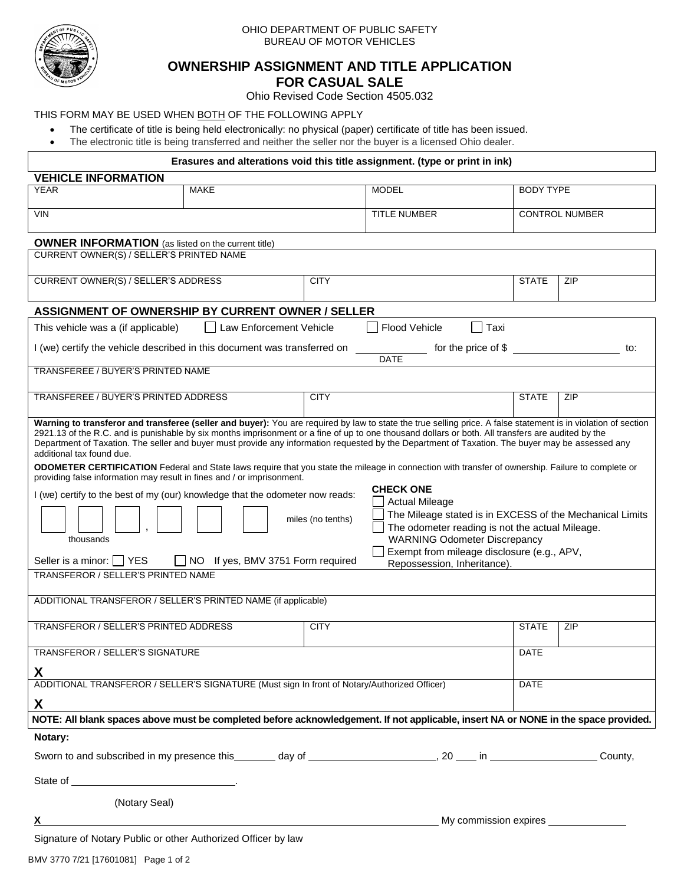

#### OHIO DEPARTMENT OF PUBLIC SAFETY BUREAU OF MOTOR VEHICLES

# **OWNERSHIP ASSIGNMENT AND TITLE APPLICATION**

**FOR CASUAL SALE**

Ohio Revised Code Section 4505.032

# THIS FORM MAY BE USED WHEN BOTH OF THE FOLLOWING APPLY

- The certificate of title is being held electronically: no physical (paper) certificate of title has been issued.
- The electronic title is being transferred and neither the seller nor the buyer is a licensed Ohio dealer.

| Erasures and alterations void this title assignment. (type or print in ink)                                                                                                                                                                                                                                                                                                                                                                                                                                                                                                                                                                                                                                                                                                                                                                                                                                                                                                                                                                                                                                                                                                                                                                    |                                         |             |                       |                  |                                       |  |  |  |
|------------------------------------------------------------------------------------------------------------------------------------------------------------------------------------------------------------------------------------------------------------------------------------------------------------------------------------------------------------------------------------------------------------------------------------------------------------------------------------------------------------------------------------------------------------------------------------------------------------------------------------------------------------------------------------------------------------------------------------------------------------------------------------------------------------------------------------------------------------------------------------------------------------------------------------------------------------------------------------------------------------------------------------------------------------------------------------------------------------------------------------------------------------------------------------------------------------------------------------------------|-----------------------------------------|-------------|-----------------------|------------------|---------------------------------------|--|--|--|
| <b>VEHICLE INFORMATION</b>                                                                                                                                                                                                                                                                                                                                                                                                                                                                                                                                                                                                                                                                                                                                                                                                                                                                                                                                                                                                                                                                                                                                                                                                                     |                                         |             |                       |                  |                                       |  |  |  |
| <b>YEAR</b>                                                                                                                                                                                                                                                                                                                                                                                                                                                                                                                                                                                                                                                                                                                                                                                                                                                                                                                                                                                                                                                                                                                                                                                                                                    | <b>MAKE</b>                             |             | <b>MODEL</b>          | <b>BODY TYPE</b> |                                       |  |  |  |
| <b>VIN</b>                                                                                                                                                                                                                                                                                                                                                                                                                                                                                                                                                                                                                                                                                                                                                                                                                                                                                                                                                                                                                                                                                                                                                                                                                                     |                                         |             | <b>TITLE NUMBER</b>   |                  | <b>CONTROL NUMBER</b>                 |  |  |  |
| <b>OWNER INFORMATION</b> (as listed on the current title)                                                                                                                                                                                                                                                                                                                                                                                                                                                                                                                                                                                                                                                                                                                                                                                                                                                                                                                                                                                                                                                                                                                                                                                      |                                         |             |                       |                  |                                       |  |  |  |
| CURRENT OWNER(S) / SELLER'S PRINTED NAME                                                                                                                                                                                                                                                                                                                                                                                                                                                                                                                                                                                                                                                                                                                                                                                                                                                                                                                                                                                                                                                                                                                                                                                                       |                                         |             |                       |                  |                                       |  |  |  |
| CURRENT OWNER(S) / SELLER'S ADDRESS                                                                                                                                                                                                                                                                                                                                                                                                                                                                                                                                                                                                                                                                                                                                                                                                                                                                                                                                                                                                                                                                                                                                                                                                            |                                         | <b>CITY</b> |                       | <b>STATE</b>     | ZIP                                   |  |  |  |
|                                                                                                                                                                                                                                                                                                                                                                                                                                                                                                                                                                                                                                                                                                                                                                                                                                                                                                                                                                                                                                                                                                                                                                                                                                                |                                         |             |                       |                  |                                       |  |  |  |
| ASSIGNMENT OF OWNERSHIP BY CURRENT OWNER / SELLER                                                                                                                                                                                                                                                                                                                                                                                                                                                                                                                                                                                                                                                                                                                                                                                                                                                                                                                                                                                                                                                                                                                                                                                              |                                         |             |                       |                  |                                       |  |  |  |
| This vehicle was a (if applicable)                                                                                                                                                                                                                                                                                                                                                                                                                                                                                                                                                                                                                                                                                                                                                                                                                                                                                                                                                                                                                                                                                                                                                                                                             | Law Enforcement Vehicle<br>$\mathbf{1}$ |             | Flood Vehicle<br>Taxi |                  |                                       |  |  |  |
| for the price of \$<br>I (we) certify the vehicle described in this document was transferred on<br>to:<br><b>DATE</b>                                                                                                                                                                                                                                                                                                                                                                                                                                                                                                                                                                                                                                                                                                                                                                                                                                                                                                                                                                                                                                                                                                                          |                                         |             |                       |                  |                                       |  |  |  |
| TRANSFEREE / BUYER'S PRINTED NAME                                                                                                                                                                                                                                                                                                                                                                                                                                                                                                                                                                                                                                                                                                                                                                                                                                                                                                                                                                                                                                                                                                                                                                                                              |                                         |             |                       |                  |                                       |  |  |  |
|                                                                                                                                                                                                                                                                                                                                                                                                                                                                                                                                                                                                                                                                                                                                                                                                                                                                                                                                                                                                                                                                                                                                                                                                                                                |                                         |             |                       |                  |                                       |  |  |  |
| TRANSFEREE / BUYER'S PRINTED ADDRESS                                                                                                                                                                                                                                                                                                                                                                                                                                                                                                                                                                                                                                                                                                                                                                                                                                                                                                                                                                                                                                                                                                                                                                                                           |                                         | <b>CITY</b> |                       | <b>STATE</b>     | ZIP                                   |  |  |  |
| Warning to transferor and transferee (seller and buyer): You are required by law to state the true selling price. A false statement is in violation of section<br>2921.13 of the R.C. and is punishable by six months imprisonment or a fine of up to one thousand dollars or both. All transfers are audited by the<br>Department of Taxation. The seller and buyer must provide any information requested by the Department of Taxation. The buyer may be assessed any<br>additional tax found due.<br>ODOMETER CERTIFICATION Federal and State laws require that you state the mileage in connection with transfer of ownership. Failure to complete or<br>providing false information may result in fines and / or imprisonment.<br><b>CHECK ONE</b><br>I (we) certify to the best of my (our) knowledge that the odometer now reads:<br><b>Actual Mileage</b><br>The Mileage stated is in EXCESS of the Mechanical Limits<br>miles (no tenths)<br>The odometer reading is not the actual Mileage.<br><b>WARNING Odometer Discrepancy</b><br>thousands<br>Exempt from mileage disclosure (e.g., APV,<br>Seller is a minor:   YES<br>NO If yes, BMV 3751 Form required<br>Repossession, Inheritance).<br>TRANSFEROR / SELLER'S PRINTED NAME |                                         |             |                       |                  |                                       |  |  |  |
| ADDITIONAL TRANSFEROR / SELLER'S PRINTED NAME (if applicable)                                                                                                                                                                                                                                                                                                                                                                                                                                                                                                                                                                                                                                                                                                                                                                                                                                                                                                                                                                                                                                                                                                                                                                                  |                                         |             |                       |                  |                                       |  |  |  |
| TRANSFEROR / SELLER'S PRINTED ADDRESS                                                                                                                                                                                                                                                                                                                                                                                                                                                                                                                                                                                                                                                                                                                                                                                                                                                                                                                                                                                                                                                                                                                                                                                                          |                                         | <b>CITY</b> |                       | <b>STATE</b>     | ZIP                                   |  |  |  |
| TRANSFEROR / SELLER'S SIGNATURE                                                                                                                                                                                                                                                                                                                                                                                                                                                                                                                                                                                                                                                                                                                                                                                                                                                                                                                                                                                                                                                                                                                                                                                                                |                                         |             | <b>DATE</b>           |                  |                                       |  |  |  |
|                                                                                                                                                                                                                                                                                                                                                                                                                                                                                                                                                                                                                                                                                                                                                                                                                                                                                                                                                                                                                                                                                                                                                                                                                                                |                                         |             |                       |                  |                                       |  |  |  |
| ADDITIONAL TRANSFEROR / SELLER'S SIGNATURE (Must sign In front of Notary/Authorized Officer)                                                                                                                                                                                                                                                                                                                                                                                                                                                                                                                                                                                                                                                                                                                                                                                                                                                                                                                                                                                                                                                                                                                                                   |                                         |             |                       |                  | <b>DATE</b>                           |  |  |  |
| X                                                                                                                                                                                                                                                                                                                                                                                                                                                                                                                                                                                                                                                                                                                                                                                                                                                                                                                                                                                                                                                                                                                                                                                                                                              |                                         |             |                       |                  |                                       |  |  |  |
| NOTE: All blank spaces above must be completed before acknowledgement. If not applicable, insert NA or NONE in the space provided.                                                                                                                                                                                                                                                                                                                                                                                                                                                                                                                                                                                                                                                                                                                                                                                                                                                                                                                                                                                                                                                                                                             |                                         |             |                       |                  |                                       |  |  |  |
| Notary:                                                                                                                                                                                                                                                                                                                                                                                                                                                                                                                                                                                                                                                                                                                                                                                                                                                                                                                                                                                                                                                                                                                                                                                                                                        |                                         |             |                       |                  |                                       |  |  |  |
| Sworn to and subscribed in my presence this _______ day of ______________________, 20 ____ in ________________                                                                                                                                                                                                                                                                                                                                                                                                                                                                                                                                                                                                                                                                                                                                                                                                                                                                                                                                                                                                                                                                                                                                 |                                         |             |                       |                  | County,                               |  |  |  |
|                                                                                                                                                                                                                                                                                                                                                                                                                                                                                                                                                                                                                                                                                                                                                                                                                                                                                                                                                                                                                                                                                                                                                                                                                                                |                                         |             |                       |                  |                                       |  |  |  |
| (Notary Seal)                                                                                                                                                                                                                                                                                                                                                                                                                                                                                                                                                                                                                                                                                                                                                                                                                                                                                                                                                                                                                                                                                                                                                                                                                                  |                                         |             |                       |                  |                                       |  |  |  |
| X                                                                                                                                                                                                                                                                                                                                                                                                                                                                                                                                                                                                                                                                                                                                                                                                                                                                                                                                                                                                                                                                                                                                                                                                                                              |                                         |             |                       |                  | My commission expires _______________ |  |  |  |
| Signature of Notary Public or other Authorized Officer by law                                                                                                                                                                                                                                                                                                                                                                                                                                                                                                                                                                                                                                                                                                                                                                                                                                                                                                                                                                                                                                                                                                                                                                                  |                                         |             |                       |                  |                                       |  |  |  |
| $\frac{1}{2}$                                                                                                                                                                                                                                                                                                                                                                                                                                                                                                                                                                                                                                                                                                                                                                                                                                                                                                                                                                                                                                                                                                                                                                                                                                  |                                         |             |                       |                  |                                       |  |  |  |